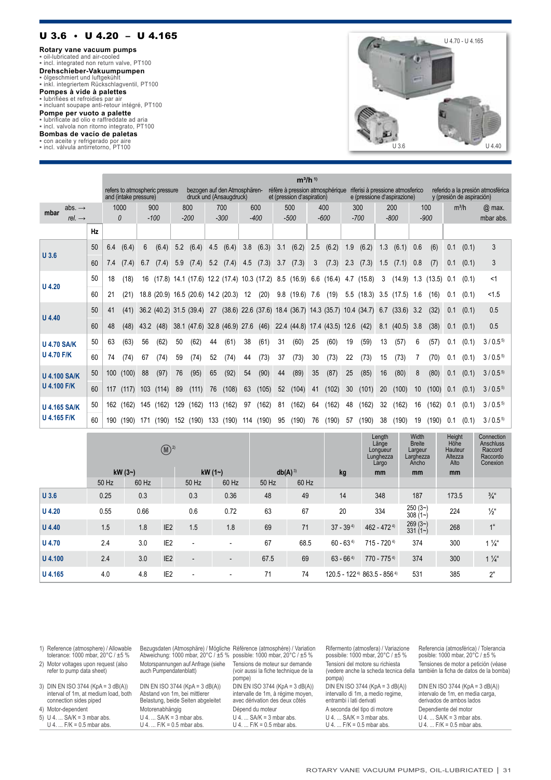## U 3.6 • U 4.20 – U 4.165

**Rotary vane vacuum pumps**<br>▪ oil-lubricated and air-cooled<br>▪ incl. integrated non return valve, PT100

**Drehschieber-Vakuumpumpen**<br>▪ ölgeschmiert und luftgekühlt<br>▪ inkl. integriertem Rückschlagventil, PT100

**Pompes à vide à palettes**<br>▪ lubrifiées et refroidies par air<br>▪ incluant soupape anti-retour intégré, PT100

**Pompe per vuoto a palette** ▪ lubrificate ad olio e raffreddate ad aria ▪ incl. valvola non ritorno integrato, PT100

**Bombas de vacío de paletas** ▪ con aceite y refrigerado por aire ▪ incl. válvula antirretorno, PT100



| bezogen auf den Atmosphären-<br>réfère à pression atmosphérique<br>refers to atmospheric pressure<br>riferisi à pressione atmosferico<br>referido a la presión atmosférica<br>and (intake pressure)<br>druck und (Ansaugdruck)<br>et (pression d'aspiration)<br>e (pressione d'aspirazione)<br>y (presión de aspiración)<br>1000<br>900<br>800<br>700<br>600<br>500<br>400<br>200<br>$m^3/h$<br>300<br>100<br>abs. $\rightarrow$ | $@$ max.<br>mbar abs. |
|----------------------------------------------------------------------------------------------------------------------------------------------------------------------------------------------------------------------------------------------------------------------------------------------------------------------------------------------------------------------------------------------------------------------------------|-----------------------|
|                                                                                                                                                                                                                                                                                                                                                                                                                                  |                       |
| mbar                                                                                                                                                                                                                                                                                                                                                                                                                             |                       |
| $-600$<br>$-900$<br>$-100$<br>$-200$<br>$-300$<br>$-400$<br>$-500$<br>$-800$<br>$\theta$<br>$-700$<br>rel. $\rightarrow$                                                                                                                                                                                                                                                                                                         |                       |
| Hz                                                                                                                                                                                                                                                                                                                                                                                                                               |                       |
| 50<br>(6.3)<br>3.1<br>(6.2)<br>2.5<br>1.9<br>(6.2)<br>1.3<br>(6.4)<br>(6.4)<br>5.2<br>(6.4)<br>(6.4)<br>3.8<br>(6.2)<br>(6.1)<br>0.6<br>(6)<br>(0.1)<br>6.4<br>6<br>4.5<br>0.1<br>$U$ 3.6                                                                                                                                                                                                                                        | 3                     |
| 60<br>(7.4)<br>6.7<br>(7.3)<br>3.7<br>(7.3)<br>3<br>(7.3)<br>2.3<br>(7.3)<br>1.5<br>(7)<br>(0.1)<br>(7.4)<br>5.9<br>(7.4)<br>5.2<br>(7.4)<br>4.5<br>(7.1)<br>0.8<br>0.1<br>7.4                                                                                                                                                                                                                                                   | 3                     |
| 50<br>(18)<br>$(17.8)$ 14.1 $(17.6)$ 12.2 $(17.4)$<br>10.3(17.2)<br>8.5<br>(16.9)<br>6.6<br>(16.4)<br>(15.8)<br>3<br>(14.9)<br>1.3<br>(13.5)<br>(0.1)<br>18<br>16<br>4.7<br>0.1<br>$U$ 4.20                                                                                                                                                                                                                                      | <1                    |
| 60<br>(21)<br>12<br>(20)<br>9.8(19.6)<br>$5.5$ (18.3)<br>21<br>18.8 (20.9) 16.5 (20.6) 14.2 (20.3)<br>7.6<br>(19)<br>3.5<br>(17.5)<br>1.6<br>(16)<br>(0.1)<br>0.1                                                                                                                                                                                                                                                                | < 1.5                 |
| 50<br>$(38.6)$ 22.6 $(37.6)$<br>18.4 (36.7) 14.3 (35.7)<br>(32)<br>(41)<br>36.2 (40.2) 31.5 (39.4)<br>27<br>10.4(34.7)<br>6.7<br>(33.6)<br>3.2<br>0.1<br>(0.1)<br>41<br>$U$ 4.40                                                                                                                                                                                                                                                 | 0.5                   |
| 60<br>48<br>(48)<br>38.1 (47.6) 32.8 (46.9) 27.6<br>(46)<br>22.4 (44.8) 17.4 (43.5) 12.6<br>(42)<br>8.1<br>(40.5)<br>3.8<br>(38)<br>(0.1)<br>43.2<br>(48)<br>0.1                                                                                                                                                                                                                                                                 | 0.5                   |
| 50<br>(63)<br>31<br>(60)<br>19<br>(0.1)<br>63<br>56<br>(62)<br>50<br>(62)<br>(61)<br>38<br>(61)<br>(60)<br>25<br>(59)<br>13<br>(57)<br>6<br>(57)<br>0.1<br>44<br><b>U 4.70 SA/K</b>                                                                                                                                                                                                                                              | $3/0.5^{5}$           |
| <b>U 4.70 F/K</b><br>30<br>22<br>60<br>(74)<br>67<br>59<br>(74)<br>52<br>(73)<br>37<br>(73)<br>(73)<br>(73)<br>(73)<br>(70)<br>(0.1)<br>(74)<br>(74)<br>44<br>15<br>0.1<br>74                                                                                                                                                                                                                                                    | $3/0.5^{5}$           |
| 50<br>(92)<br>(90)<br>(89)<br>(87)<br>(100)<br>(97)<br>76<br>(95)<br>65<br>54<br>44<br>35<br>25<br>(85)<br>16<br>(80)<br>(80)<br>100<br>88<br>8<br>0.1<br>(0.1)<br><b>U 4.100 SA/K</b>                                                                                                                                                                                                                                           | $3/0.5^{5}$           |
| <b>U 4.100 F/K</b><br>60<br>89<br>(108)<br>63<br>(105)<br>52<br>(102)<br>30<br>(101)<br>20<br>(100)<br>(100)<br>(117)<br>103<br>(114)<br>(111)<br>76<br>(104)<br>10<br>117<br>41<br>0.1<br>(0.1)                                                                                                                                                                                                                                 | $3/0.5^{5}$           |
| (162)<br>(162)<br>(162)<br>(162)<br>(162)<br>50<br>(162)<br>113<br>(162)<br>97<br>81<br>64<br>48<br>32<br>(162)<br>16<br>0.1<br>(0.1)<br>(162)<br>(162)<br>129<br>162<br>145<br><b>U 4.165 SA/K</b>                                                                                                                                                                                                                              | $3/0.5^{5}$           |
| <b>U 4.165 F/K</b><br>(190)<br>60<br>133<br>76<br>(190)<br>(190)<br>(190)<br>(190)<br>(190)<br>(190)<br>(190)<br>95<br>57<br>(190)<br>38<br>19<br>0.1<br>(0.1)<br>(190)<br>171<br>152<br>114<br>190                                                                                                                                                                                                                              | $3/0.5^{5}$           |

|               |          |       | $\bigcirc$ <sup>2)</sup> |                          |                          |             |       |               | Length<br>Länge<br>Longueur<br>Lunghezza<br>Largo | Width<br><b>Breite</b><br>Largeur<br>Larghezza<br>Ancho | Height<br>Höĥe<br>Hauteur<br>Altezza<br>Alto | Connection<br>Anschluss<br>Raccord<br>Raccordo<br>Conexion |
|---------------|----------|-------|--------------------------|--------------------------|--------------------------|-------------|-------|---------------|---------------------------------------------------|---------------------------------------------------------|----------------------------------------------|------------------------------------------------------------|
|               | $kW(3-)$ |       |                          | kW $(12)$                |                          | $db(A)^{3}$ |       | kg            | mm                                                | mm                                                      | mm                                           |                                                            |
|               | 50 Hz    | 60 Hz |                          | 50 Hz                    | 60 Hz                    | 50 Hz       | 60 Hz |               |                                                   |                                                         |                                              |                                                            |
| $U$ 3.6       | 0.25     | 0.3   |                          | 0.3                      | 0.36                     | 48          | 49    | 14            | 348                                               | 187                                                     | 173.5                                        | $\frac{3}{4}$ "                                            |
| $U$ 4.20      | 0.55     | 0.66  |                          | 0.6                      | 0.72                     | 63          | 67    | 20            | 334                                               | $250(3-)$<br>$308(1-)$                                  | 224                                          | $\frac{1}{2}$ "                                            |
| $U$ 4.40      | 1.5      | 1.8   | IE <sub>2</sub>          | 1.5                      | 1.8                      | 69          | 71    | $37 - 394$    | $462 - 4724$                                      | 269(3)<br>$331(1-)$                                     | 268                                          | 1 <sup>u</sup>                                             |
| <b>U</b> 4.70 | 2.4      | 3.0   | IE <sub>2</sub>          | $\overline{\phantom{a}}$ | $\overline{\phantom{a}}$ | 67          | 68.5  | $60 - 63^{4}$ | $715 - 7204$                                      | 374                                                     | 300                                          | $1\frac{1}{4}$                                             |
| U 4.100       | 2.4      | 3.0   | IE <sub>2</sub>          | $\overline{\phantom{a}}$ | $\overline{\phantom{a}}$ | 67.5        | 69    | $63 - 664$    | $770 - 7754$                                      | 374                                                     | 300                                          | $1\frac{1}{4}$                                             |
| U 4.165       | 4.0      | 4.8   | IE <sub>2</sub>          | $\overline{\phantom{a}}$ | $\overline{\phantom{a}}$ | 71          | 74    |               | 120.5 - 122 <sup>4</sup> 863.5 - 856 <sup>4</sup> | 531                                                     | 385                                          | $2^{\circ}$                                                |

| 1) Reference (atmosphere) / Allowable<br>tolerance: 1000 mbar, $20^{\circ}$ C / $\pm 5$ %            | Bezugsdaten (Atmosphäre) / Mögliche Référence (atmosphère) / Variation<br>Abweichung: 1000 mbar, $20^{\circ}$ C / $\pm 5$ % possible: 1000 mbar, $20^{\circ}$ C / $\pm 5$ % |                                                                                                          | Rifermento (atmosfera) / Variazione<br>possibile: 1000 mbar, $20^{\circ}$ C / $\pm$ 5 %            | Referencia (atmosférica) / Tolerancia<br>posible: 1000 mbar, $20^{\circ}$ C / $\pm 5$ %                              |
|------------------------------------------------------------------------------------------------------|-----------------------------------------------------------------------------------------------------------------------------------------------------------------------------|----------------------------------------------------------------------------------------------------------|----------------------------------------------------------------------------------------------------|----------------------------------------------------------------------------------------------------------------------|
| 2) Motor voltages upon request (also<br>refer to pump data sheet)                                    | Motorspannungen auf Anfrage (siehe<br>auch Pumpendatenblatt)                                                                                                                | Tensions de moteur sur demande<br>(voir aussi la fiche technique de la<br>pompe)                         | Tensioni del motore su richiesta<br>pompa)                                                         | Tensiones de motor a petición (véase<br>(vedere anche la scheda tecnica della también la ficha de datos de la bomba) |
| 3) DIN EN ISO 3744 (KpA = 3 dB(A))<br>interval of 1m, at medium load, both<br>connection sides piped | DIN EN ISO 3744 (KpA = $3$ dB(A))<br>Abstand von 1m, bei mittlerer<br>Belastung, beide Seiten abgeleitet                                                                    | DIN EN ISO 3744 (KpA = $3$ dB(A))<br>intervalle de 1m, à régime moyen,<br>avec dérivation des deux côtés | DIN EN ISO 3744 (KpA = $3$ dB(A))<br>intervallo di 1m, a medio regime,<br>entrambi i lati derivati | DIN EN ISO 3744 (KpA = $3$ dB(A))<br>intervalo de 1m, en media carga,<br>derivados de ambos lados                    |
| 4) Motor-dependent                                                                                   | Motorenabhängig                                                                                                                                                             | Dépend du moteur                                                                                         | A seconda del tipo di motore                                                                       | Dependiente del motor                                                                                                |
| 5) $U$ 4.  SA/K = 3 mbar abs.<br>U 4. $F/K = 0.5$ mbar abs.                                          | $U$ 4.  SA/K = 3 mbar abs.<br>U 4. $F/K = 0.5$ mbar abs.                                                                                                                    | $U$ 4.  SA/K = 3 mbar abs.<br>U 4. $F/K = 0.5$ mbar abs.                                                 | $U$ 4.  SA/K = 3 mbar abs.<br>U 4. $F/K = 0.5$ mbar abs.                                           | $U$ 4.  SA/K = 3 mbar abs.<br>$U$ 4.  F/K = 0.5 mbar abs.                                                            |